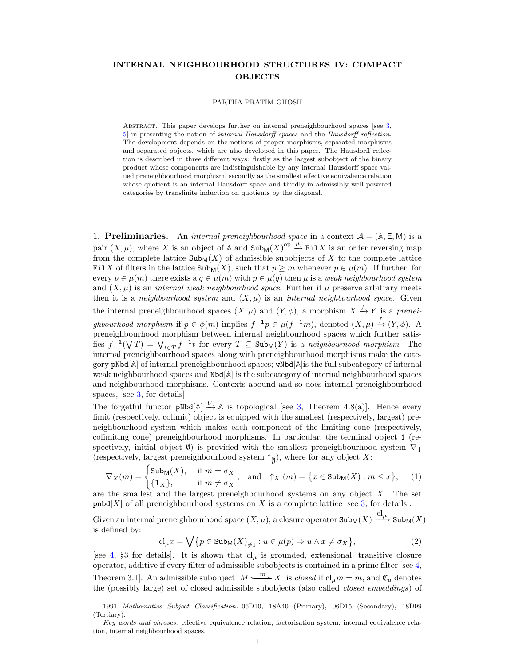## <span id="page-0-1"></span><span id="page-0-0"></span>INTERNAL NEIGHBOURHOOD STRUCTURES IV: COMPACT OBJECTS

## PARTHA PRATIM GHOSH

ABSTRACT. This paper develops further on internal preneighbourhood spaces [see [3,](#page-7-0) [5\]](#page-7-1) in presenting the notion of internal Hausdorff spaces and the Hausdorff reflection. The development depends on the notions of proper morphisms, separated morphisms and separated objects, which are also developed in this paper. The Hausdorff reflection is described in three different ways: firstly as the largest subobject of the binary product whose components are indistinguishable by any internal Hausdorff space valued preneighbourhood morphism, secondly as the smallest effective equivalence relation whose quotient is an internal Hausdorff space and thirdly in admissibly well powered categories by transfinite induction on quotients by the diagonal.

1. **Preliminaries.** An *internal preneighbourhood space* in a context  $A = (A, E, M)$  is a pair  $(X, \mu)$ , where X is an object of A and  $\text{Sub}_M(X)^\text{op} \stackrel{\mu}{\to} \text{Fil} X$  is an order reversing map from the complete lattice  $\text{Sub}_{M}(X)$  of admissible subobjects of X to the complete lattice FilX of filters in the lattice  $\text{Sub}_{M}(X)$ , such that  $p \geq m$  whenever  $p \in \mu(m)$ . If further, for every  $p \in \mu(m)$  there exists a  $q \in \mu(m)$  with  $p \in \mu(q)$  then  $\mu$  is a weak neighbourhood system and  $(X, \mu)$  is an *internal weak neighbourhood space*. Further if  $\mu$  preserve arbitrary meets then it is a neighbourhood system and  $(X, \mu)$  is an internal neighbourhood space. Given the internal preneighbourhood spaces  $(X, \mu)$  and  $(Y, \phi)$ , a morphism  $X \stackrel{f}{\to} Y$  is a preneighbourhood morphism if  $p \in \phi(m)$  implies  $f^{-1}p \in \mu(f^{-1}m)$ , denoted  $(X,\mu) \stackrel{f}{\to} (Y,\phi)$ . A preneighbourhood morphism between internal neighbourhood spaces which further satisfies  $f^{-1}(\nabla T) = \bigvee_{t \in T} f^{-1}t$  for every  $T \subseteq \text{Sub}_M(Y)$  is a neighbourhood morphism. The internal preneighbourhood spaces along with preneighbourhood morphisms make the category pNbd[**A**] of internal preneighbourhood spaces; wNbd[**A**]is the full subcategory of internal weak neighbourhood spaces and Nbd[**A**] is the subcategory of internal neighbourhood spaces and neighbourhood morphisms. Contexts abound and so does internal preneighbourhood spaces, [see [3,](#page-7-0) for details].

The forgetful functor  $pNbd[A] \stackrel{U}{\rightarrow} A$  is topological [see [3,](#page-7-0) Theorem 4.8(a)]. Hence every limit (respectively, colimit) object is equipped with the smallest (respectively, largest) preneighbourhood system which makes each component of the limiting cone (respectively, colimiting cone) preneighbourhood morphisms. In particular, the terminal object 1 (respectively, initial object  $\emptyset$ ) is provided with the smallest preneighbourhood system  $\nabla_1$ (respectively, largest preneighbourhood system  $\uparrow_{\varnothing}),$  where for any object  $X$  :

$$
\nabla_X(m) = \begin{cases} \text{Sub}_M(X), & \text{if } m = \sigma_X \\ \{1_X\}, & \text{if } m \neq \sigma_X \end{cases}, \text{ and } \uparrow_X(m) = \{x \in \text{Sub}_M(X) : m \le x\}, \quad (1)
$$

are the smallest and the largest preneighbourhood systems on any object  $X$ . The set  $pmbd[X]$  of all preneighbourhood systems on X is a complete lattice [see [3,](#page-7-0) for details].

Given an internal preneighbourhood space  $(X, \mu)$ , a closure operator  ${\tt Sub}_{{\sf M}}(X) \xrightarrow{{\rm cl}_{\mu}} {\tt Sub}_{{\sf M}}(X)$ is defined by:

$$
\mathrm{cl}_{\mu}x = \bigvee \{ p \in \mathrm{Sub}_{\mathsf{M}}(X)_{\neq 1} : u \in \mu(p) \Rightarrow u \wedge x \neq \sigma_X \},\tag{2}
$$

[see [4,](#page-7-2) §3 for details]. It is shown that  $cl_{\mu}$  is grounded, extensional, transitive closure operator, additive if every filter of admissible subobjects is contained in a prime filter [see [4,](#page-7-2) Theorem 3.1. An admissible subobject  $M \rightarrow \infty$  is *closed* if  $cl_{\mu}m = m$ , and  $\mathfrak{C}_{\mu}$  denotes the (possibly large) set of closed admissible subobjects (also called closed embeddings) of

<sup>1991</sup> Mathematics Subject Classification. 06D10, 18A40 (Primary), 06D15 (Secondary), 18D99 (Tertiary).

Key words and phrases. effective equivalence relation, factorisation system, internal equivalence relation, internal neighbourhood spaces.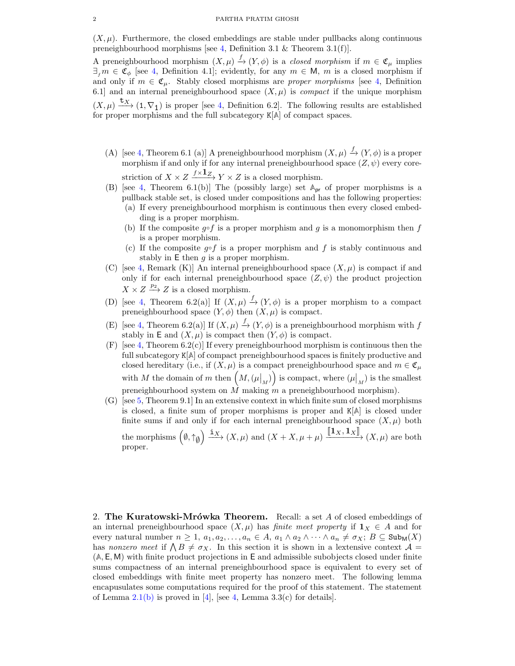$(X, \mu)$ . Furthermore, the closed embeddings are stable under pullbacks along continuous preneighbourhood morphisms [see [4,](#page-7-2) Definition 3.1 & Theorem 3.1(f)].

A preneighbourhood morphism  $(X, \mu) \stackrel{f}{\to} (Y, \phi)$  is a *closed morphism* if  $m \in \mathfrak{C}_{\mu}$  implies  $\exists_{m} \in \mathfrak{C}_{\phi}$  [see [4,](#page-7-2) Definition 4.1]; evidently, for any  $m \in \mathsf{M}$ , m is a closed morphism if and only if  $m \in \mathfrak{C}_{\mu}$ . Stably closed morphisms are *proper morphisms* [see [4,](#page-7-2) Definition 6.1] and an internal preneighbourhood space  $(X, \mu)$  is *compact* if the unique morphism  $(X, \mu) \xrightarrow{\mathbf{t}_X} (1, \nabla_1)$  is proper [see [4,](#page-7-2) Definition 6.2]. The following results are established for proper morphisms and the full subcategory K[**A**] of compact spaces.

- (A) [see [4,](#page-7-2) Theorem 6.1 (a)] A preneighbourhood morphism  $(X, \mu) \stackrel{f}{\to} (Y, \phi)$  is a proper morphism if and only if for any internal preneighbourhood space  $(Z, \psi)$  every corestriction of  $X \times Z \xrightarrow{f \times \mathbf{1}_{Z}} Y \times Z$  is a closed morphism.
- (B) [see [4,](#page-7-2) Theorem 6.1(b)] The (possibly large) set **A**pr of proper morphisms is a pullback stable set, is closed under compositions and has the following properties:
	- (a) If every preneighbourhood morphism is continuous then every closed embedding is a proper morphism.
	- (b) If the composite  $g \circ f$  is a proper morphism and g is a monomorphism then f is a proper morphism.
	- (c) If the composite  $g \circ f$  is a proper morphism and f is stably continuous and stably in  $E$  then  $g$  is a proper morphism.
- (C) [see [4,](#page-7-2) Remark (K)] An internal preneighbourhood space  $(X,\mu)$  is compact if and only if for each internal preneighbourhood space  $(Z, \psi)$  the product projection  $X \times Z \stackrel{p_2}{\longrightarrow} Z$  is a closed morphism.
- (D) [see [4,](#page-7-2) Theorem 6.2(a)] If  $(X, \mu) \xrightarrow{f} (Y, \phi)$  is a proper morphism to a compact preneighbourhood space  $(Y, \phi)$  then  $(X, \mu)$  is compact.
- (E) [see [4,](#page-7-2) Theorem 6.2(a)] If  $(X, \mu) \xrightarrow{f} (Y, \phi)$  is a preneighbourhood morphism with f stably in E and  $(X, \mu)$  is compact then  $(Y, \phi)$  is compact.
- $(F)$  [see [4,](#page-7-2) Theorem 6.2(c)] If every preneighbourhood morphism is continuous then the full subcategory K[**A**] of compact preneighbourhood spaces is finitely productive and closed hereditary (i.e., if  $(X, \mu)$  is a compact preneighbourhood space and  $m \in \mathfrak{C}_{\mu}$ with M the domain of m then  $(M,(\mu|_M))$  is compact, where  $(\mu|_M)$  is the smallest preneighbourhood system on  $M$  making  $m$  a preneighbourhood morphism).
- (G) [see [5,](#page-7-1) Theorem 9.1] In an extensive context in which finite sum of closed morphisms is closed, a finite sum of proper morphisms is proper and K[**A**] is closed under finite sums if and only if for each internal preneighbourhood space  $(X, \mu)$  both the morphisms  $(\emptyset, \uparrow_{\emptyset}) \xrightarrow{\mathbf{i}X} (X, \mu)$  and  $(X + X, \mu + \mu)$   $\overline{\mathbf{[}^{\mathbf{1}}X, \mathbf{1}_X \mathbf{]}}, (X, \mu)$  are both proper.

2. The Kuratowski-Mrówka Theorem. Recall: a set A of closed embeddings of an internal preneighbourhood space  $(X, \mu)$  has finite meet property if  $\mathbf{1}_X \in A$  and for every natural number  $n \geq 1$ ,  $a_1, a_2, \ldots, a_n \in A$ ,  $a_1 \wedge a_2 \wedge \cdots \wedge a_n \neq \sigma_X$ ;  $B \subseteq \text{Sub}_M(X)$ has nonzero meet if  $\bigwedge B \neq \sigma_X$ . In this section it is shown in a lextensive context  $\mathcal{A} =$ (**A**, E, M) with finite product projections in E and admissible subobjects closed under finite sums compactness of an internal preneighbourhood space is equivalent to every set of closed embeddings with finite meet property has nonzero meet. The following lemma encapusulates some computations required for the proof of this statement. The statement of Lemma  $2.1(b)$  $2.1(b)$  is proved in [\[4\]](#page-7-2), [see [4,](#page-7-2) Lemma 3.3(c) for details].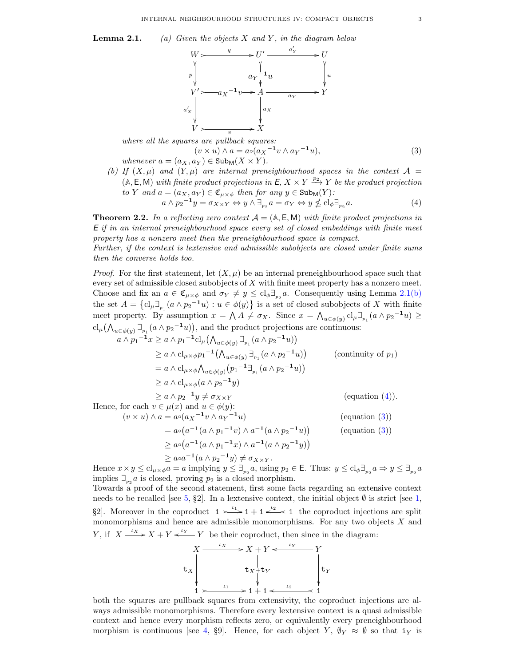<span id="page-2-4"></span>**Lemma 2.1.** (a) Given the objects X and Y, in the diagram below



where all the squares are pullback squares:  
\n
$$
(v \times u) \wedge a = a \circ (a_X^{-1} v \wedge a_Y^{-1} u),
$$
\n
$$
(3)
$$
\nwhenever  $a = (a_X, a_Y) \in \text{Sub}_M(X \times Y).$ 

<span id="page-2-0"></span>(b) If  $(X, \mu)$  and  $(Y, \mu)$  are internal preneighbourhood spaces in the context  $\mathcal{A} =$  $(A, E, M)$  with finite product projections in  $E, X \times Y \xrightarrow{p_2} Y$  be the product projection to Y and  $a = (a_X, a_Y) \in \mathfrak{C}_{u \times \phi}$  then for any  $y \in \text{Sub}_M(Y)$ :

<span id="page-2-2"></span><span id="page-2-1"></span>
$$
a \wedge p_2^{-1} y = \sigma_{X \times Y} \Leftrightarrow y \wedge \exists_{p_2} a = \sigma_Y \Leftrightarrow y \nleq \mathrm{cl}_{\phi} \exists_{p_2} a. \tag{4}
$$

<span id="page-2-3"></span>**Theorem 2.2.** In a reflecting zero context  $A = (\mathbb{A}, \mathbb{E}, \mathbb{M})$  with finite product projections in E if in an internal preneighbourhood space every set of closed embeddings with finite meet property has a nonzero meet then the preneighbourhood space is compact.

Further, if the context is lextensive and admissible subobjects are closed under finite sums then the converse holds too.

*Proof.* For the first statement, let  $(X, \mu)$  be an internal preneighbourhood space such that every set of admissible closed subobjects of  $X$  with finite meet property has a nonzero meet. Choose and fix an  $a \in \mathfrak{C}_{\mu \times \phi}$  and  $\sigma_Y \neq y \leq \mathrm{cl}_{\phi} \exists_{p_2} a$ . Consequently using Lemma [2.1](#page-0-0)[\(b\)](#page-2-0) the set  $A = \{cl_{\mu}\exists_{p_1}(a \wedge p_2^{-1}u) : u \in \phi(y)\}\$ is a set of closed subobjects of X with finite meet property. By assumption  $x = \bigwedge A \neq \sigma_X$ . Since  $x = \bigwedge_{u \in \phi(y)} cl_{\mu} \exists_{p_1} (a \wedge p_2^{-1} u) \geq$  $\text{cl}_{\mu}(\bigwedge_{u \in \phi(y)} \exists_{p_1}(a \wedge p_2^{-1}u)\big)$ , and the product projections are continuous:

$$
a \wedge p_1^{-1}x \ge a \wedge p_1^{-1}cl_{\mu}(\bigwedge_{u \in \phi(y)} \exists_{p_1} (a \wedge p_2^{-1}u))
$$
  
\n
$$
\ge a \wedge cl_{\mu \times \phi}p_1^{-1}(\bigwedge_{u \in \phi(y)} \exists_{p_1} (a \wedge p_2^{-1}u))
$$
 (continuity of  $p_1$ )  
\n
$$
= a \wedge cl_{\mu \times \phi}(\bigwedge_{u \in \phi(y)} (p_1^{-1} \exists_{p_1} (a \wedge p_2^{-1}u))
$$
  
\n
$$
\ge a \wedge cl_{\mu \times \phi}(a \wedge p_2^{-1}y)
$$
  
\n
$$
\ge a \wedge p_2^{-1}y \ne \sigma_{X \times Y}
$$
 (equation (4)).  
\nHence, for each  $v \in \mu(x)$  and  $u \in \phi(y)$ :  
\n
$$
(v \times u) \wedge a = a \circ (a_X^{-1}v \wedge a_Y^{-1}u)
$$
 (equation (3))

$$
= a \circ (a^{-1} (a \wedge p_1^{-1} v) \wedge a^{-1} (a \wedge p_2^{-1} u))
$$
 (equation (3))  
\n
$$
\ge a \circ (a^{-1} (a \wedge p_1^{-1} x) \wedge a^{-1} (a \wedge p_2^{-1} y))
$$
  
\n
$$
\ge a \circ a^{-1} (a \wedge p_2^{-1} y) \neq \sigma_{X \times Y}.
$$

Hence  $x \times y \leq \mathrm{cl}_{\mu \times \phi} a = a$  implying  $y \leq \exists_{p_2} a$ , using  $p_2 \in \mathsf{E}$ . Thus:  $y \leq \mathrm{cl}_{\phi} \exists_{p_2} a \Rightarrow y \leq \exists_{p_2} a$ implies  $\exists_{p_2} a$  is closed, proving  $p_2$  is a closed morphism.

Towards a proof of the second statement, first some facts regarding an extensive context needs to be recalled [see [5,](#page-7-1) §2]. In a lextensive context, the initial object  $\emptyset$  is strict [see [1,](#page-7-3) §2. Moreover in the coproduct  $1 \rightleftharpoons 1 + 1 \leftleftharpoons 1$  the coproduct injections are split monomorphisms and hence are admissible monomorphisms. For any two objects  $X$  and Y, if  $X \xrightarrow{\iota_X} X + Y \xleftarrow{\iota_Y} Y$  be their coproduct, then since in the diagram:



both the squares are pullback squares from extensivity, the coproduct injections are always admissible monomorphisms. Therefore every lextensive context is a quasi admissible context and hence every morphism reflects zero, or equivalently every preneighbourhood morphism is continuous [see [4,](#page-7-2) §9]. Hence, for each object Y,  $\mathcal{O}_Y \approx \mathcal{O}$  so that  $i_Y$  is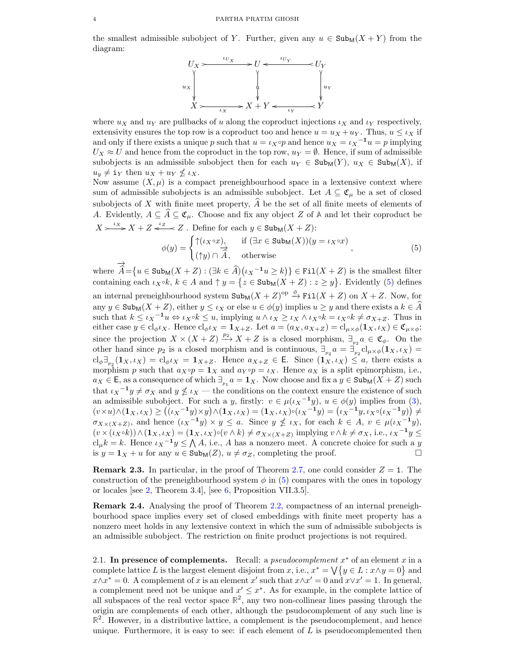<span id="page-3-1"></span>the smallest admissible subobject of Y. Further, given any  $u \in \text{Sub}_M(X + Y)$  from the diagram:



where  $u_X$  and  $u_Y$  are pullbacks of u along the coproduct injections  $i_X$  and  $i_Y$  respectively, extensivity ensures the top row is a coproduct too and hence  $u = u_X + u_Y$ . Thus,  $u \leq \iota_X$  if and only if there exists a unique p such that  $u = \iota_X \circ p$  and hence  $u_X = \iota_X^{-1} u = p$  implying  $U_X \approx U$  and hence from the coproduct in the top row,  $u_Y = \emptyset$ . Hence, if sum of admissible subobjects is an admissible subobject then for each  $u_Y \in Sub_M(Y)$ ,  $u_X \in Sub_M(X)$ , if  $u_y \neq i_Y$  then  $u_X + u_Y \nleq u_X$ .

Now assume  $(X, \mu)$  is a compact preneighbourhood space in a lextensive context where sum of admissible subobjects is an admissible subobject. Let  $A \subseteq \mathfrak{C}_{\mu}$  be a set of closed subobjects of X with finite meet property,  $\widehat{A}$  be the set of all finite meets of elements of A. Evidently,  $A \subseteq \hat{A} \subseteq \mathfrak{C}_u$ . Choose and fix any object Z of A and let their coproduct be  $X \rightarrow X^* X + Z \stackrel{\iota_Z}{\longleftarrow} Z$ . Define for each  $y \in \text{Sub}_M(X + Z)$ :

<span id="page-3-0"></span>
$$
\phi(y) = \begin{cases} \uparrow (\iota_X \circ x), & \text{if } (\exists x \in \text{Sub}_M(X))(y = \iota_X \circ x) \\ (\uparrow y) \cap \overrightarrow{A}, & \text{otherwise} \end{cases}
$$
\n(5)

where −→  $\widehat{A} = \{u \in \text{Sub}_{\mathsf{M}}(X + Z) : (\exists k \in \widehat{A}) (\iota_X^{-1} u \ge k)\}\in \text{Fil}(X + Z)$  is the smallest filter containing each  $\iota_X \circ k$ ,  $k \in A$  and  $\uparrow y = \{z \in \text{Sub}_M(X + Z) : z \geq y\}$ . Evidently [\(5\)](#page-3-0) defines an internal preneighbourhood system  $\text{Sub}_M(X+Z)^{op} \stackrel{\phi}{\to} \text{Fil}(X+Z)$  on  $X+Z$ . Now, for any  $y \in \text{Sub}_M(X + Z)$ , either  $y \leq \iota_X$  or else  $u \in \phi(y)$  implies  $u \geq y$  and there exists a  $k \in \widehat{A}$ such that  $k \leq \iota_X^{-1}u \Leftrightarrow \iota_X \circ k \leq u$ , implying  $u \wedge \iota_X \geq \iota_X \wedge \iota_X \circ k = \iota_X \circ k \neq \sigma_{X+Z}$ . Thus in either case  $y \in cl_{\phi} \iota_X$ . Hence  $cl_{\phi} \iota_X = \mathbf{1}_{X+Z}$ . Let  $a = (a_X, a_{X+Z}) = cl_{\mu \times \phi}(\mathbf{1}_X, \iota_X) \in \mathfrak{C}_{\mu \times \phi}$ ; since the projection  $X \times (X + Z) \stackrel{p_2}{\longrightarrow} X + Z$  is a closed morphism,  $\exists_{p_2} a \in \mathfrak{C}_{\phi}$ . On the other hand since  $p_2$  is a closed morphism and is continuous,  $\exists_{p_2} a = \exists_{p_2} \text{cl}_{\mu \times \phi}(\mathbf{1}_X, \iota_X) =$  $\text{cl}_{\phi}\exists_{p_2}(1_X,\iota_X)=\text{cl}_{\phi}\iota_X=1_{X+Z}$ . Hence  $a_{X+Z}\in \mathsf{E}$ . Since  $(1_X,\iota_X)\leq a$ , there exists a morphism p such that  $a_X \circ p = \mathbf{1}_X$  and  $a_Y \circ p = \iota_X$ . Hence  $a_X$  is a split epimorphism, i.e.,  $a_X \in \mathsf{E}$ , as a consequence of which  $\exists_{p_1} a = \mathbf{1}_X$ . Now choose and fix a  $y \in \text{Sub}_\mathsf{M}(X + Z)$  such that  $\iota_X^{-1}y \neq \sigma_X$  and  $y \nleq \iota_X$  — the conditions on the context ensure the existence of such an admissible subobject. For such a y, firstly:  $v \in \mu(\iota_X^{-1}y)$ ,  $u \in \phi(y)$  implies from [\(3\)](#page-2-2),  $(v \times u) \wedge (\mathbf{1}_X, \iota_X) \ge ((\iota_X^{-1}y) \times y) \wedge (\mathbf{1}_X, \iota_X) = (\mathbf{1}_X, \iota_X) \circ (\iota_X^{-1}y) = (\iota_X^{-1}y, \iota_X \circ (\iota_X^{-1}y)) \ne$  $\sigma_{X\times(X+Z)}$ , and hence  $(\iota_X^{-1}y) \times y \leq a$ . Since  $y \nleq \iota_X$ , for each  $k \in A$ ,  $v \in \mu(\iota_X^{-1}y)$ ,  $(v \times (\iota_X \circ k)) \wedge (\mathbf{1}_X, \iota_X) = (\mathbf{1}_X, \iota_X) \circ (v \wedge k) \neq \sigma_{X \times (X + Z)}$  implying  $v \wedge k \neq \sigma_X$ , i.e.,  $\iota_X^{-1} y \leq$  $\mathrm{cl}_{\mu}k = k$ . Hence  $\iota_X^{-1}y \leq \bigwedge A$ , i.e., A has a nonzero meet. A concrete choice for such a y is  $y = \mathbf{1}_X + u$  for any  $u \in \text{Sub}_M(Z)$ ,  $u \neq \sigma_Z$ , completing the proof.

**Remark 2.3.** In particular, in the proof of Theorem [2.7,](#page-4-0) one could consider  $Z = 1$ . The construction of the preneighbourhood system  $\phi$  in [\(5\)](#page-3-0) compares with the ones in topology or locales [see [2,](#page-7-4) Theorem 3.4], [see [6,](#page-7-5) Proposition VII.3.5].

Remark 2.4. Analysing the proof of Theorem [2.2,](#page-2-3) compactness of an internal preneighbourhood space implies every set of closed embeddings with finite meet property has a nonzero meet holds in any lextensive context in which the sum of admissible subobjects is an admissible subobject. The restriction on finite product projections is not required.

2.1. In presence of complements. Recall: a *pseudocomplement*  $x^*$  of an element  $x$  in a complete lattice L is the largest element disjoint from x, i.e.,  $x^* = \bigvee \{y \in L : x \wedge y = 0\}$  and  $x \wedge x^* = 0$ . A complement of x is an element x' such that  $x \wedge x' = 0$  and  $x \vee x' = 1$ . In general, a complement need not be unique and  $x' \leq x^*$ . As for example, in the complete lattice of all subspaces of the real vector space  $\mathbb{R}^2$ , any two non-collinear lines passing through the origin are complements of each other, although the psudocomplement of any such line is  $\mathbb{R}^2$ . However, in a distributive lattice, a complement is the pseudocomplement, and hence unique. Furthermore, it is easy to see: if each element of  $L$  is pseudocomplemented then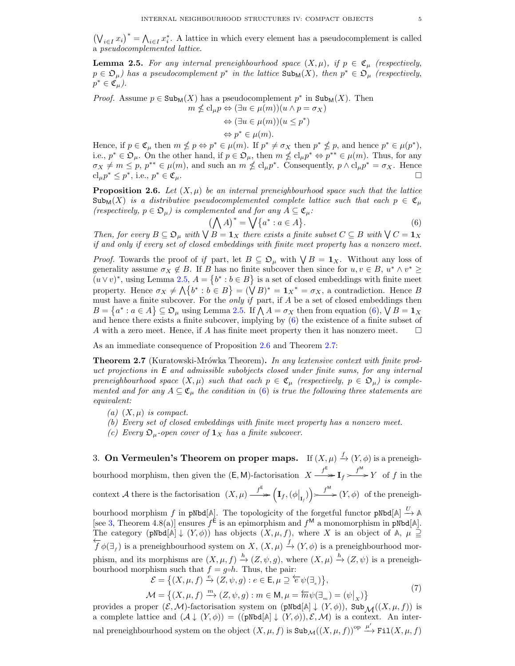<span id="page-4-4"></span> $(\bigvee_{i\in I} x_i)^* = \bigwedge_{i\in I} x_i^*$ . A lattice in which every element has a pseudocomplement is called a pseudocomplemented lattice.

<span id="page-4-1"></span>**Lemma 2.5.** For any internal preneighbourhood space  $(X, \mu)$ , if  $p \in \mathfrak{C}_{\mu}$  (respectively,  $p \in \mathfrak{O}_{\mu}$ ) has a pseudocomplement  $p^*$  in the lattice  $\text{Sub}_{\mathsf{M}}(X)$ , then  $p^* \in \mathfrak{O}_{\mu}$  (respectively,  $p^* \in \mathfrak{C}_\mu$ .

*Proof.* Assume  $p \in \text{Sub}_M(X)$  has a pseudocomplement  $p^*$  in  $\text{Sub}_M(X)$ . Then  $m \nleq \mathrm{cl}_{\mu} p \Leftrightarrow (\exists u \in \mu(m))(u \wedge p = \sigma_X)$ 

$$
\Leftrightarrow (\exists u \in \mu(m))(u \le p^*)
$$
  

$$
\Leftrightarrow p^* \in \mu(m).
$$

Hence, if  $p \in \mathfrak{C}_{\mu}$  then  $m \nleq p \Leftrightarrow p^* \in \mu(m)$ . If  $p^* \neq \sigma_X$  then  $p^* \nleq p$ , and hence  $p^* \in \mu(p^*)$ , i.e.,  $p^* \in \mathfrak{O}_{\mu}$ . On the other hand, if  $p \in \mathfrak{O}_{\mu}$ , then  $m \nleq cl_{\mu} p^* \Leftrightarrow p^{**} \in \mu(m)$ . Thus, for any  $\sigma_X \neq m \leq p, p^{**} \in \mu(m)$ , and such an  $m \nleq \mathrm{cl}_{\mu} p^*$ . Consequently,  $p \wedge \mathrm{cl}_{\mu} p^* = \sigma_X$ . Hence  $\mathrm{cl}_{\mu} p^* \leq p^*$ , i.e., p  $\mathfrak{e}_\mu$ .

<span id="page-4-3"></span>**Proposition 2.6.** Let  $(X, \mu)$  be an internal preneighbourhood space such that the lattice  $\text{Sub}_{\mathbb{M}}(X)$  is a distributive pseudocomplemented complete lattice such that each  $p \in \mathfrak{C}_{\mu}$ (respectively,  $p \in \mathfrak{O}_{\mu}$ ) is complemented and for any  $A \subseteq \mathfrak{C}_{\mu}$ :

<span id="page-4-2"></span>
$$
\left(\bigwedge A\right)^* = \bigvee \{a^* : a \in A\}.\tag{6}
$$

Then, for every  $B \subseteq \mathfrak{O}_{\mu}$  with  $\bigvee B = \mathbf{1}_X$  there exists a finite subset  $C \subseteq B$  with  $\bigvee C = \mathbf{1}_X$ if and only if every set of closed embeddings with finite meet property has a nonzero meet.

*Proof.* Towards the proof of if part, let  $B \subseteq \mathfrak{O}_{\mu}$  with  $\bigvee B = \mathbf{1}_X$ . Without any loss of generality assume  $\sigma_X \notin B$ . If B has no finite subcover then since for  $u, v \in B$ ,  $u^* \wedge v^* \geq$  $(u \vee v)^*$ , using Lemma [2.5,](#page-4-1)  $A = \{b^* : b \in B\}$  is a set of closed embeddings with finite meet property. Hence  $\sigma_X \neq \bigwedge \{b^* : b \in B\} = (\bigvee B)^* = \mathbf{1}_X^* = \sigma_X$ , a contradiction. Hence B must have a finite subcover. For the *only if* part, if  $A$  be a set of closed embeddings then  $B = \{a^* : a \in A\} \subseteq \mathfrak{O}_{\mu}$  using Lemma [2.5.](#page-4-1) If  $\bigwedge A = \sigma_X$  then from equation  $(6), \bigvee B = \mathbf{1}_X$  $(6), \bigvee B = \mathbf{1}_X$ and hence there exists a finite subcover, implying by [\(6\)](#page-4-2) the existence of a finite subset of A with a zero meet. Hence, if A has finite meet property then it has nonzero meet.  $\square$ 

As an immediate consequence of Proposition [2.6](#page-4-3) and Theorem [2.7:](#page-4-0)

<span id="page-4-0"></span>**Theorem 2.7** (Kuratowski-Mrówka Theorem). In any lextensive context with finite product projections in E and admissible subobjects closed under finite sums, for any internal preneighbourhood space  $(X, \mu)$  such that each  $p \in \mathfrak{C}_{\mu}$  (respectively,  $p \in \mathfrak{D}_{\mu}$ ) is complemented and for any  $A \subseteq \mathfrak{C}_{\mu}$  the condition in [\(6\)](#page-4-2) is true the following three statements are equivalent:

- (a)  $(X, \mu)$  is compact.
- (b) Every set of closed embeddings with finite meet property has a nonzero meet.
- (c) Every  $\mathfrak{O}_u$ -open cover of  $\mathbf{1}_X$  has a finite subcover.

3. On Vermeulen's Theorem on proper maps. If  $(X,\mu) \stackrel{f}{\to} (Y,\phi)$  is a preneighbourhood morphism, then given the  $(E, M)$ -factorisation  $X \xrightarrow{f^E} \mathbf{I}_f \xrightarrow{f^M} Y$  of f in the context A there is the factorisation  $(X, \mu) \xrightarrow{f^{\mathsf{E}}} (\mathbf{I}_{f}, (\phi|_{\mathbf{I}_{f}})) \longrightarrow f^{\mathsf{M}}(Y, \phi)$  of the preneigh-

bourhood morphism f in pNbd[ $\mathbb{A}$ ]. The topologicity of the forgetful functor pNbd[ $\mathbb{A}$ ]  $\stackrel{U}{\to} \mathbb{A}$ [see [3,](#page-7-0) Theorem 4.8(a)] ensures  $f^{\text{E}}$  is an epimorphism and  $f^{\text{M}}$  a monomorphism in pNbd[A]. The category  $(pNbd[A] \downarrow (Y, \phi))$  has objects  $(X, \mu, f)$ , where X is an object of A,  $\mu \supseteq$  $\overleftarrow{f}\phi(\exists_{f})$  is a preneighbourhood system on  $X, (X, \mu) \xrightarrow{f} (Y, \phi)$  is a preneighbourhood morphism, and its morphisms are  $(X, \mu, f) \stackrel{h}{\to} (Z, \psi, g)$ , where  $(X, \mu) \stackrel{h}{\to} (Z, \psi)$  is a preneighbourhood morphism such that  $f = g \circ h$ . Thus, the pair:

$$
\mathcal{E} = \{ (X, \mu, f) \xrightarrow{e} (Z, \psi, g) : e \in \mathsf{E}, \mu \supseteq \overleftarrow{e} \psi(\exists_e) \},
$$
  

$$
\mathcal{M} = \{ (X, \mu, f) \xrightarrow{m} (Z, \psi, g) : m \in \mathsf{M}, \mu = \overleftarrow{m} \psi(\exists_m) = (\psi|_X) \}
$$
(7)

provides a proper  $(\mathcal{E},\mathcal{M})$ -factorisation system on  $(pNbd[A] \downarrow (Y,\phi))$ , Sub $\mathcal{M}((X,\mu,f))$  is a complete lattice and  $(\mathcal{A} \downarrow (Y, \phi)) = ((pNbd[\mathbb{A}] \downarrow (Y, \phi)), \mathcal{E}, \mathcal{M})$  is a context. An internal preneighbourhood system on the object  $(X, \mu, f)$  is  $\text{Sub}_{\mathcal{M}}((X, \mu, f))^{\text{op}} \xrightarrow{\mu'} \text{Fil}(X, \mu, f)$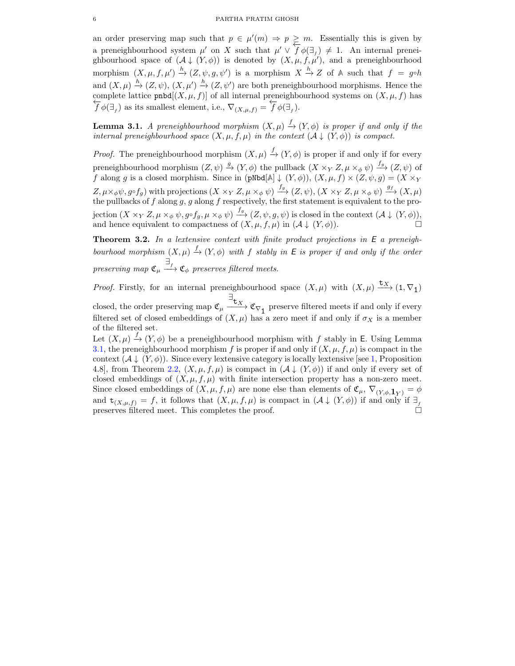<span id="page-5-1"></span>an order preserving map such that  $p \in \mu'(m) \Rightarrow p \geq m$ . Essentially this is given by a preneighbourhood system  $\mu'$  on X such that  $\mu' \vee \overline{f} \phi(\exists_f) \neq 1$ . An internal preneighbourhood space of  $(\mathcal{A} \downarrow (Y, \phi))$  is denoted by  $(X, \mu, f, \mu')$ , and a preneighbourhood morphism  $(X, \mu, f, \mu') \stackrel{h}{\to} (Z, \psi, g, \psi')$  is a morphism  $X \stackrel{h}{\to} Z$  of A such that  $f = g \circ h$ and  $(X, \mu) \stackrel{h}{\to} (Z, \psi), (X, \mu') \stackrel{h}{\to} (Z, \psi')$  are both preneighbourhood morphisms. Hence the complete lattice pnbd[ $(X, \mu, f)$ ] of all internal preneighbourhood systems on  $(X, \mu, f)$  has ) as its smallest element, i.e.,  $\nabla_{(X,\mu,f)} = f \phi(\exists_f)$ .

<span id="page-5-0"></span>**Lemma 3.1.** A preneighbourhood morphism  $(X, \mu) \xrightarrow{f} (Y, \phi)$  is proper if and only if the internal preneighbourhood space  $(X, \mu, f, \mu)$  in the context  $(\mathcal{A} \downarrow (Y, \phi))$  is compact.

*Proof.* The preneighbourhood morphism  $(X, \mu) \xrightarrow{f} (Y, \phi)$  is proper if and only if for every preneighbourhood morphism  $(Z, \psi) \xrightarrow{g} (Y, \phi)$  the pullback  $(X \times_Y Z, \mu \times_{\phi} \psi) \xrightarrow{f_g} (Z, \psi)$  of f along g is a closed morphism. Since in  $(pNbd[A], (Y, \phi)), (X, \mu, f) \times (Z, \psi, g) = (X \times_Y$  $Z, \mu \times_{\phi} \psi, g \circ f_g$  with projections  $(X \times_Y Z, \mu \times_{\phi} \psi) \xrightarrow{f_g} (Z, \psi), (X \times_Y Z, \mu \times_{\phi} \psi) \xrightarrow{g_f} (X, \mu)$ the pullbacks of f along g, g along f respectively, the first statement is equivalent to the projection  $(X \times_Y Z, \mu \times_{\phi} \psi, g \circ f_g, \mu \times_{\phi} \psi) \stackrel{f_g}{\longrightarrow} (Z, \psi, g, \psi)$  is closed in the context  $(\mathcal{A} \downarrow (Y, \phi)),$ and hence equivalent to compactness of  $(X, \mu, f, \mu)$  in  $(\mathcal{A} \downarrow (Y, \phi))$ .

Theorem 3.2. In a lextensive context with finite product projections in E a preneighbourhood morphism  $(X, \mu) \xrightarrow{f} (Y, \phi)$  with f stably in E is proper if and only if the order preserving map  $\mathfrak{C}_{\mu}\stackrel{\exists_f}{\longrightarrow}\mathfrak{C}_{\phi}$  preserves filtered meets.

*Proof.* Firstly, for an internal preneighbourhood space  $(X, \mu)$  with  $(X, \mu) \xrightarrow{\mathbf{t}_X} (1, \nabla_1)$ closed, the order preserving map  $\mathfrak{C}_{\mu}$  $\exists$ **t**<sub>X</sub>  $\mathfrak{C}_{\nabla_1}$  preserve filtered meets if and only if every filtered set of closed embeddings of  $(X, \mu)$  has a zero meet if and only if  $\sigma_X$  is a member of the filtered set.

Let  $(X, \mu) \stackrel{f}{\rightarrow} (Y, \phi)$  be a preneighbourhood morphism with f stably in E. Using Lemma [3.1,](#page-5-0) the preneighbourhood morphism f is proper if and only if  $(X, \mu, f, \mu)$  is compact in the context  $(\mathcal{A} \downarrow (Y, \phi))$ . Since every lextensive category is locally lextensive [see [1,](#page-7-3) Proposition 4.8], from Theorem [2.2,](#page-2-3)  $(X, \mu, f, \mu)$  is compact in  $(\mathcal{A} \downarrow (Y, \phi))$  if and only if every set of closed embeddings of  $(X, \mu, f, \mu)$  with finite intersection property has a non-zero meet. Since closed embeddings of  $(X, \mu, f, \mu)$  are none else than elements of  $\mathfrak{C}_{\mu}, \nabla_{(Y, \phi, 1_Y)} = \phi$ and  $\mathbf{t}_{(X,\mu,f)} = f$ , it follows that  $(X,\mu,f,\mu)$  is compact in  $(\mathcal{A} \downarrow (Y,\phi))$  if and only if  $\exists_{f}$ preserves filtered meet. This completes the proof.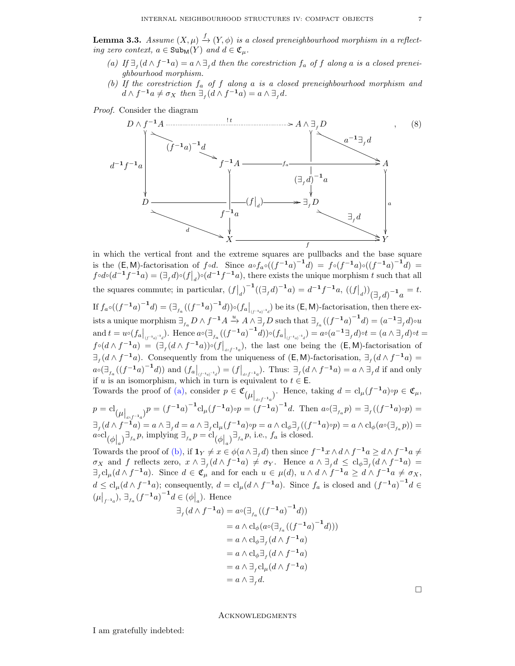**Lemma 3.3.** Assume  $(X, \mu) \stackrel{f}{\rightarrow} (Y, \phi)$  is a closed preneighbourhood morphism in a reflecting zero context,  $a \in \text{Sub}_M(Y)$  and  $d \in \mathfrak{C}_{\mu}$ .

- <span id="page-6-0"></span>(a) If  $\exists_f(d \wedge f^{-1}a) = a \wedge \exists_f d$  then the corestriction  $f_a$  of f along a is a closed preneighbourhood morphism.
- <span id="page-6-1"></span>(b) If the corestriction  $f_a$  of  $f$  along  $a$  is a closed preneighbourhood morphism and  $d \wedge f^{-1}a \neq \sigma_X$  then  $\exists_f (d \wedge f^{-1}a) = a \wedge \exists_f d$ .

Proof. Consider the diagram



in which the vertical front and the extreme squares are pullbacks and the base square is the  $(E, M)$ -factorisation of  $f \circ d$ . Since  $a \circ f_a \circ ((f^{-1}a)^{-1}d) = f \circ (f^{-1}a) \circ ((f^{-1}a)^{-1}d) =$  $f \circ d \circ (d^{-1}f^{-1}a) = (\exists_f d) \circ (f \big|_d) \circ (d^{-1}f^{-1}a)$ , there exists the unique morphism t such that all the squares commute; in particular,  $(f|_d)^{-1}((\exists_f d)^{-1}a) = d^{-1}f^{-1}a$ ,  $((f|_d))_{(\exists_f d)^{-1}a} = t$ . If  $f_a\circ((f^{-1}a)^{-1}d)=(\exists_{f_a}((f^{-1}a)^{-1}d))\circ(f_a|_{(f^{-1}a)^{-1}d})$  be its  $(\mathsf{E},\mathsf{M})$ -factorisation, then there exists a unique morphism  $\exists_{f_a} D \wedge f^{-1} A \xrightarrow{u} A \wedge \exists_{f} D$  such that  $\exists_{f_a} ((f^{-1}a)^{-1}d) = (a^{-1}\exists_{f} d) \circ u$ and  $t = u \circ (f_a|_{(f^{-1}a)^{-1}d})$ . Hence  $a \circ (\exists_{f_a} ((f^{-1}a)^{-1}d)) \circ (f_a|_{(f^{-1}a)^{-1}d}) = a \circ (a^{-1} \exists_f d) \circ t = (a \wedge \exists_f d) \circ t = (a \wedge \exists_f d)$  $f \circ (d \wedge f^{-1}a) = (\exists_f (d \wedge f^{-1}a)) \circ (f\big|_{a \wedge f^{-1}a})$ , the last one being the  $(E, M)$ -factorisation of  $\exists_f(d \wedge f^{-1}a)$ . Consequently from the uniqueness of  $(E, M)$ -factorisation,  $\exists_f(d \wedge f^{-1}a)$  =  $a \circ (\exists_{f_a} ((f^{-1}a)^{-1}d))$  and  $(f_a|_{(f^{-1}a)^{-1}d}) = (f|_{a \wedge f^{-1}a})$ . Thus:  $\exists_f (d \wedge f^{-1}a) = a \wedge \exists_f d$  if and only if u is an isomorphism, which in turn is equivalent to  $t \in \mathsf{E}$ .

Towards the proof of [\(a\),](#page-6-0) consider  $p \in \mathfrak{C}_{(\mu|_{a \wedge f^{-1}a}})$ . Hence, taking  $d = \mathrm{cl}_{\mu}(f^{-1}a) \circ p \in \mathfrak{C}_{\mu}$ ,  $p = cl_{(\mu|_{a \wedge f^{-1}a})} p = (f^{-1}a)^{-1} cl_{\mu} (f^{-1}a) \circ p = (f^{-1}a)^{-1} d.$  Then  $a \circ (\exists_{f_a} p) = \exists_f ((f^{-1}a) \circ p) =$  $\exists_f(d\wedge f^{-1}a)=a\wedge \exists_f d=a\wedge \exists_f\text{cl}_{\mu}(f^{-1}a)\circ p=a\wedge \text{cl}_{\phi}\exists_f((f^{-1}a)\circ p)=a\wedge \text{cl}_{\phi}(a\circ(\exists_{f_a}p))=b$  $a \circ \text{cl}_{\phi|_a} \exists_{f_a} p, \text{ implying } \exists_{f_a} p = \text{cl}_{\phi|_a} \exists_{f_a} p, \text{ i.e., } f_a \text{ is closed.}$ 

Towards the proof of [\(b\),](#page-6-1) if  $1_Y \neq x \in \phi(a \wedge \exists_f d)$  then since  $f^{-1}x \wedge d \wedge f^{-1}a \geq d \wedge f^{-1}a \neq$  $\sigma_X$  and f reflects zero,  $x \wedge \exists_f (d \wedge f^{-1}a) \neq \sigma_Y$ . Hence  $a \wedge \exists_f d \leq cl_{\phi} \exists_f (d \wedge f^{-1}a) =$  $\exists_f \mathrm{cl}_{\mu}(d \wedge f^{-1}a)$ . Since  $d \in \mathfrak{C}_{\mu}$  and for each  $u \in \mu(d)$ ,  $u \wedge d \wedge f^{-1}a \geq d \wedge f^{-1}a \neq \sigma_X$ ,  $d \leq cl_{\mu}(d \wedge f^{-1}a)$ ; consequently,  $d = cl_{\mu}(d \wedge f^{-1}a)$ . Since  $f_a$  is closed and  $(f^{-1}a)^{-1}d \in$  $(\mu|_{f^{-1}a}), \exists_{f_a}(f^{-1}a)^{-1}d \in (\phi|_a).$  Hence

$$
\begin{aligned} \exists_f (d \wedge f^{-1}a) &= a \circ (\exists_{f_a} ((f^{-1}a)^{-1}d)) \\ &= a \wedge \mathrm{cl}_{\phi}(a \circ (\exists_{f_a} ((f^{-1}a)^{-1}d))) \\ &= a \wedge \mathrm{cl}_{\phi} \exists_f (d \wedge f^{-1}a) \\ &= a \wedge \mathrm{cl}_{\phi} \exists_f (d \wedge f^{-1}a) \\ &= a \wedge \exists_f \mathrm{cl}_{\mu}(d \wedge f^{-1}a) \\ &= a \wedge \exists_f d. \end{aligned}
$$

 $\Box$ 

**ACKNOWLEDGMENTS** 

I am gratefully indebted: